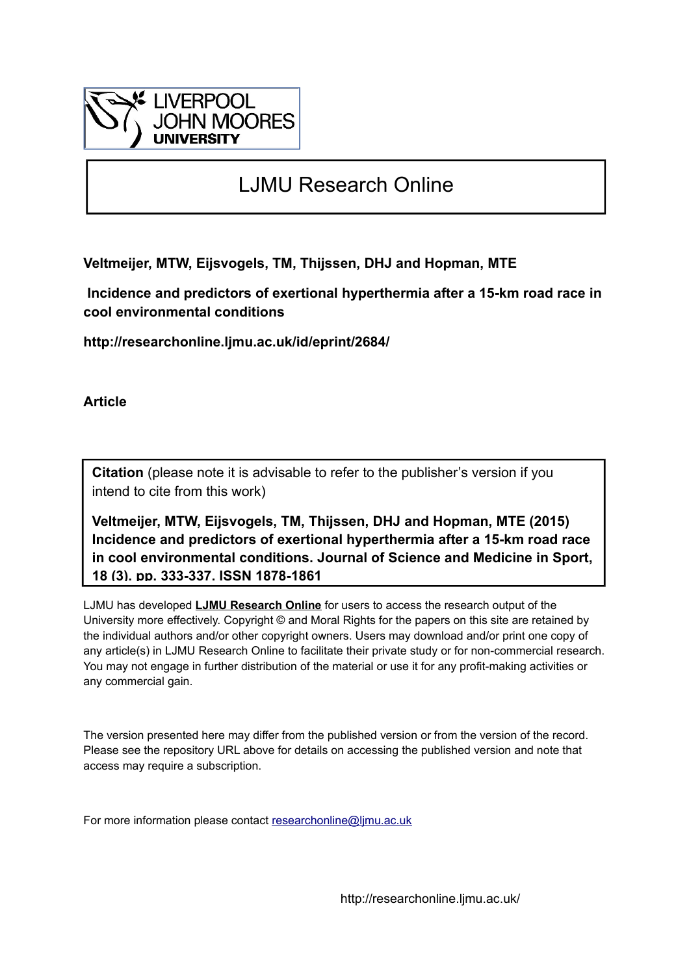

# LJMU Research Online

**Veltmeijer, MTW, Eijsvogels, TM, Thijssen, DHJ and Hopman, MTE**

 **Incidence and predictors of exertional hyperthermia after a 15-km road race in cool environmental conditions**

**http://researchonline.ljmu.ac.uk/id/eprint/2684/**

**Article**

**Citation** (please note it is advisable to refer to the publisher's version if you intend to cite from this work)

**Veltmeijer, MTW, Eijsvogels, TM, Thijssen, DHJ and Hopman, MTE (2015) Incidence and predictors of exertional hyperthermia after a 15-km road race in cool environmental conditions. Journal of Science and Medicine in Sport, 18 (3). pp. 333-337. ISSN 1878-1861** 

LJMU has developed **[LJMU Research Online](http://researchonline.ljmu.ac.uk/)** for users to access the research output of the University more effectively. Copyright © and Moral Rights for the papers on this site are retained by the individual authors and/or other copyright owners. Users may download and/or print one copy of any article(s) in LJMU Research Online to facilitate their private study or for non-commercial research. You may not engage in further distribution of the material or use it for any profit-making activities or any commercial gain.

The version presented here may differ from the published version or from the version of the record. Please see the repository URL above for details on accessing the published version and note that access may require a subscription.

For more information please contact [researchonline@ljmu.ac.uk](mailto:researchonline@ljmu.ac.uk)

http://researchonline.ljmu.ac.uk/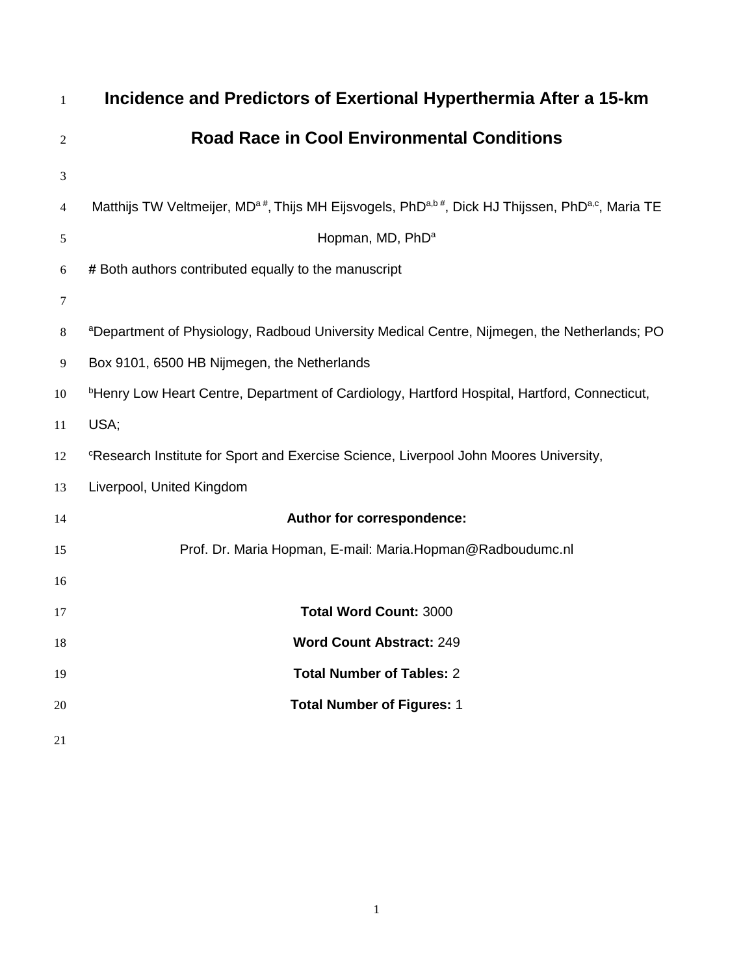| $\mathbf{1}$ | Incidence and Predictors of Exertional Hyperthermia After a 15-km                                                                     |
|--------------|---------------------------------------------------------------------------------------------------------------------------------------|
| 2            | <b>Road Race in Cool Environmental Conditions</b>                                                                                     |
| 3            |                                                                                                                                       |
| 4            | Matthijs TW Veltmeijer, MD <sup>a#</sup> , Thijs MH Eijsvogels, PhD <sup>a,b#</sup> , Dick HJ Thijssen, PhD <sup>a,c</sup> , Maria TE |
| 5            | Hopman, MD, PhD <sup>a</sup>                                                                                                          |
| 6            | # Both authors contributed equally to the manuscript                                                                                  |
| $\tau$       |                                                                                                                                       |
| 8            | aDepartment of Physiology, Radboud University Medical Centre, Nijmegen, the Netherlands; PO                                           |
| 9            | Box 9101, 6500 HB Nijmegen, the Netherlands                                                                                           |
| 10           | <sup>b</sup> Henry Low Heart Centre, Department of Cardiology, Hartford Hospital, Hartford, Connecticut,                              |
| 11           | USA;                                                                                                                                  |
| 12           | <sup>c</sup> Research Institute for Sport and Exercise Science, Liverpool John Moores University,                                     |
| 13           | Liverpool, United Kingdom                                                                                                             |
| 14           | Author for correspondence:                                                                                                            |
| 15           | Prof. Dr. Maria Hopman, E-mail: Maria.Hopman@Radboudumc.nl                                                                            |
| 16           |                                                                                                                                       |
| 17           | <b>Total Word Count: 3000</b>                                                                                                         |
| 18           | <b>Word Count Abstract: 249</b>                                                                                                       |
| 19           | <b>Total Number of Tables: 2</b>                                                                                                      |
| 20           | <b>Total Number of Figures: 1</b>                                                                                                     |
| 21           |                                                                                                                                       |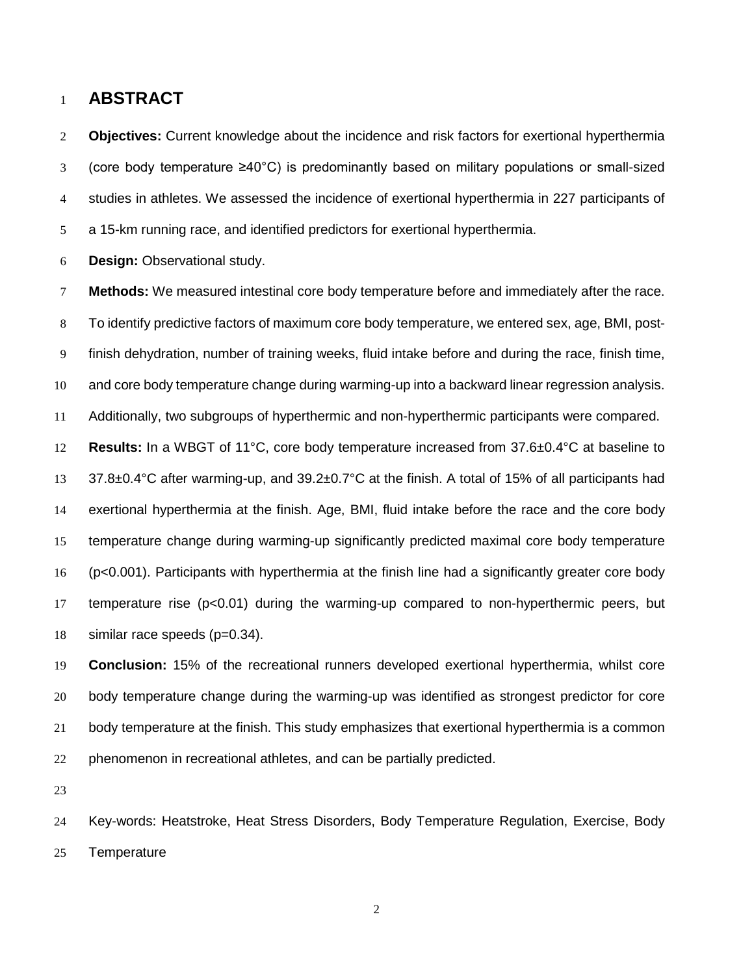### **ABSTRACT**

 **Objectives:** Current knowledge about the incidence and risk factors for exertional hyperthermia (core body temperature ≥40°C) is predominantly based on military populations or small-sized studies in athletes. We assessed the incidence of exertional hyperthermia in 227 participants of a 15-km running race, and identified predictors for exertional hyperthermia.

**Design:** Observational study.

 **Methods:** We measured intestinal core body temperature before and immediately after the race. To identify predictive factors of maximum core body temperature, we entered sex, age, BMI, post- finish dehydration, number of training weeks, fluid intake before and during the race, finish time, and core body temperature change during warming-up into a backward linear regression analysis. Additionally, two subgroups of hyperthermic and non-hyperthermic participants were compared. **Results:** In a WBGT of 11°C, core body temperature increased from 37.6±0.4°C at baseline to 37.8±0.4°C after warming-up, and 39.2±0.7°C at the finish. A total of 15% of all participants had exertional hyperthermia at the finish. Age, BMI, fluid intake before the race and the core body temperature change during warming-up significantly predicted maximal core body temperature (p<0.001). Participants with hyperthermia at the finish line had a significantly greater core body temperature rise (p<0.01) during the warming-up compared to non-hyperthermic peers, but similar race speeds (p=0.34).

 **Conclusion:** 15% of the recreational runners developed exertional hyperthermia, whilst core body temperature change during the warming-up was identified as strongest predictor for core body temperature at the finish. This study emphasizes that exertional hyperthermia is a common phenomenon in recreational athletes, and can be partially predicted.

 Key-words: Heatstroke, Heat Stress Disorders, Body Temperature Regulation, Exercise, Body Temperature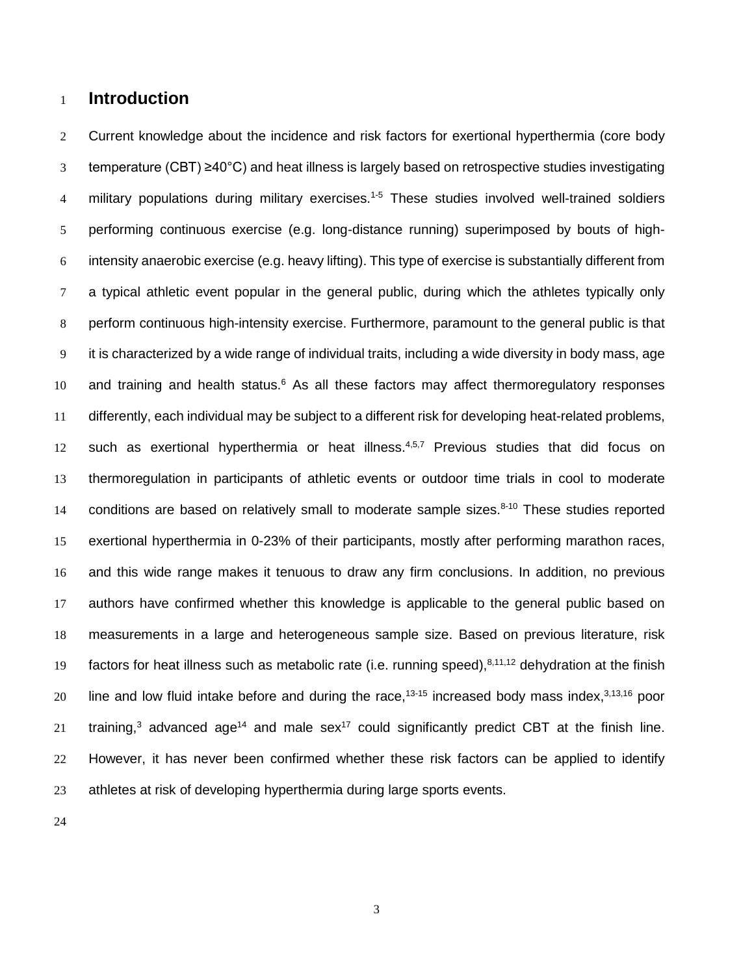## **Introduction**

2 Current knowledge about the incidence and risk factors for exertional hyperthermia (core body temperature (CBT) ≥40°C) and heat illness is largely based on retrospective studies investigating 4 military populations during military exercises.<sup>[1-5](#page-16-0)</sup> These studies involved well-trained soldiers performing continuous exercise (e.g. long-distance running) superimposed by bouts of high- intensity anaerobic exercise (e.g. heavy lifting). This type of exercise is substantially different from a typical athletic event popular in the general public, during which the athletes typically only perform continuous high-intensity exercise. Furthermore, paramount to the general public is that it is characterized by a wide range of individual traits, including a wide diversity in body mass, age 10 and training and health status. As all these factors may affect thermoregulatory responses differently, each individual may be subject to a different risk for developing heat-related problems, 12 such as exertional hyperthermia or heat illness.<sup>[4,](#page-16-2)[5](#page-16-3)[,7](#page-16-4)</sup> Previous studies that did focus on thermoregulation in participants of athletic events or outdoor time trials in cool to moderate 14 conditions are based on relatively small to moderate sample sizes.<sup>[8-10](#page-16-5)</sup> These studies reported exertional hyperthermia in 0-23% of their participants, mostly after performing marathon races, and this wide range makes it tenuous to draw any firm conclusions. In addition, no previous authors have confirmed whether this knowledge is applicable to the general public based on measurements in a large and heterogeneous sample size. Based on previous literature, risk 19 factors for heat illness such as metabolic rate (i.e. running speed),<sup>[8,](#page-16-5)[11,](#page-16-6)[12](#page-16-7)</sup> dehydration at the finish 20 Iine and low fluid intake before and during the race,<sup>[13-15](#page-17-0)</sup> increased body mass index,<sup>[3,](#page-16-8)[13,](#page-17-0)[16](#page-17-1)</sup> poor 21 training,<sup>[3](#page-16-8)</sup> advanced age<sup>14</sup> and male sex<sup>17</sup> could significantly predict CBT at the finish line. However, it has never been confirmed whether these risk factors can be applied to identify athletes at risk of developing hyperthermia during large sports events.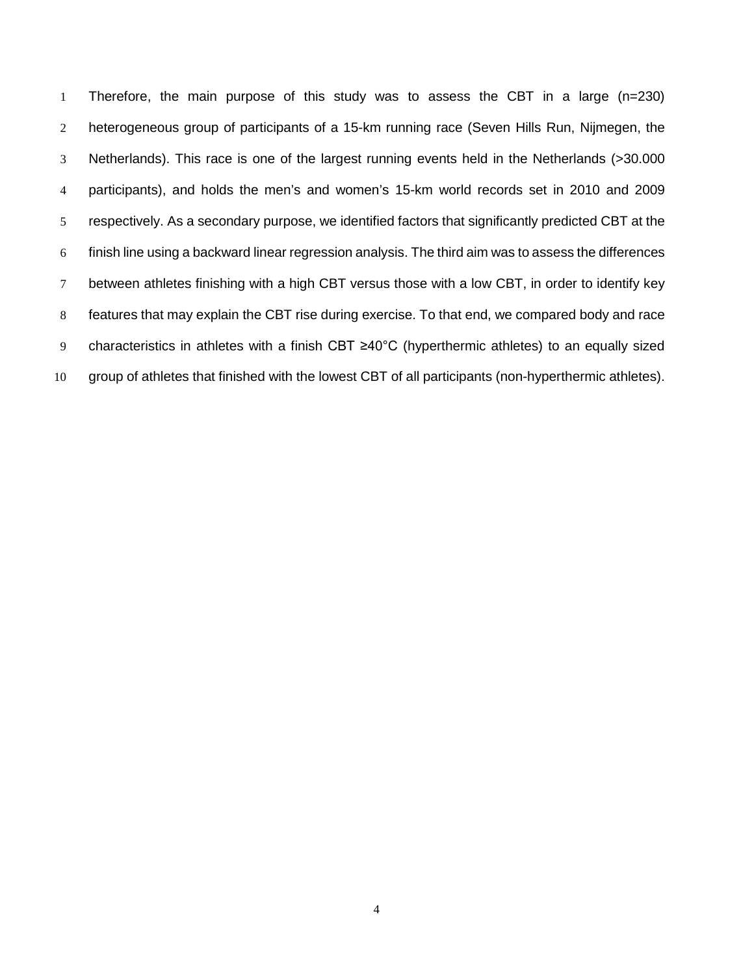Therefore, the main purpose of this study was to assess the CBT in a large (n=230) 2 heterogeneous group of participants of a 15-km running race (Seven Hills Run, Nijmegen, the Netherlands). This race is one of the largest running events held in the Netherlands (>30.000 participants), and holds the men's and women's 15-km world records set in 2010 and 2009 respectively. As a secondary purpose, we identified factors that significantly predicted CBT at the finish line using a backward linear regression analysis. The third aim was to assess the differences between athletes finishing with a high CBT versus those with a low CBT, in order to identify key features that may explain the CBT rise during exercise. To that end, we compared body and race characteristics in athletes with a finish CBT ≥40°C (hyperthermic athletes) to an equally sized group of athletes that finished with the lowest CBT of all participants (non-hyperthermic athletes).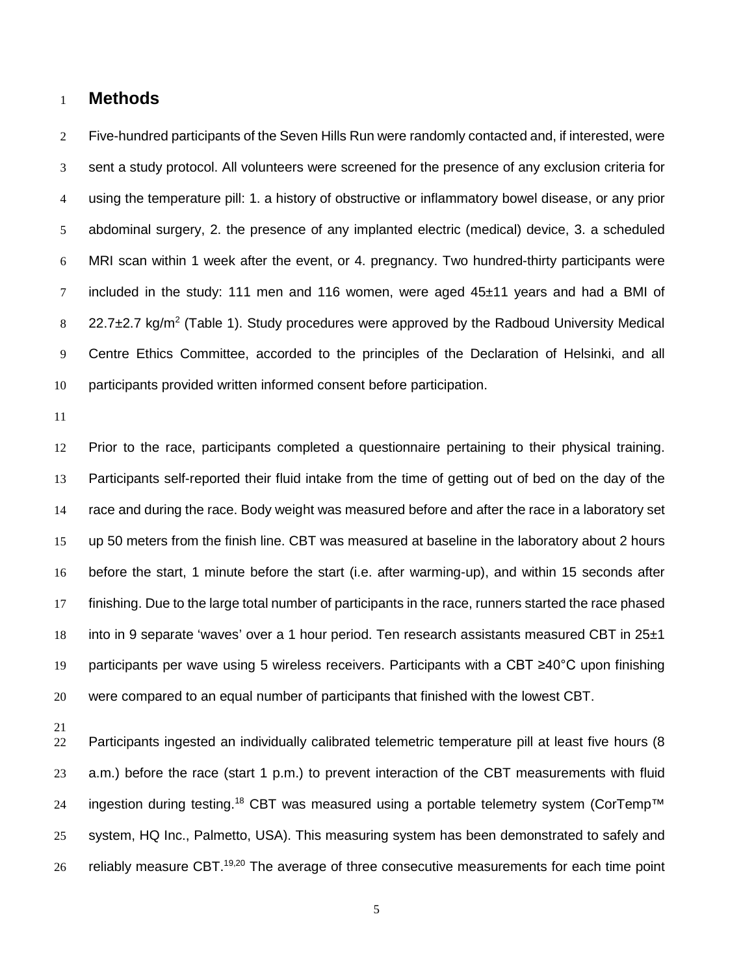## **Methods**

 Five-hundred participants of the Seven Hills Run were randomly contacted and, if interested, were sent a study protocol. All volunteers were screened for the presence of any exclusion criteria for using the temperature pill: 1. a history of obstructive or inflammatory bowel disease, or any prior abdominal surgery, 2. the presence of any implanted electric (medical) device, 3. a scheduled MRI scan within 1 week after the event, or 4. pregnancy. Two hundred-thirty participants were included in the study: 111 men and 116 women, were aged 45±11 years and had a BMI of 22.7 $\pm$ 2.7 kg/m<sup>2</sup> (Table 1). Study procedures were approved by the Radboud University Medical Centre Ethics Committee, accorded to the principles of the Declaration of Helsinki, and all participants provided written informed consent before participation.

 Prior to the race, participants completed a questionnaire pertaining to their physical training. Participants self-reported their fluid intake from the time of getting out of bed on the day of the race and during the race. Body weight was measured before and after the race in a laboratory set up 50 meters from the finish line. CBT was measured at baseline in the laboratory about 2 hours before the start, 1 minute before the start (i.e. after warming-up), and within 15 seconds after finishing. Due to the large total number of participants in the race, runners started the race phased into in 9 separate 'waves' over a 1 hour period. Ten research assistants measured CBT in 25±1 participants per wave using 5 wireless receivers. Participants with a CBT ≥40°C upon finishing were compared to an equal number of participants that finished with the lowest CBT.

 Participants ingested an individually calibrated telemetric temperature pill at least five hours (8 a.m.) before the race (start 1 p.m.) to prevent interaction of the CBT measurements with fluid 24 ingestion during testing.<sup>[18](#page-17-4)</sup> CBT was measured using a portable telemetry system (CorTemp<sup>™</sup> system, HQ Inc., Palmetto, USA). This measuring system has been demonstrated to safely and 26 reliably measure CBT.<sup>[19,](#page-17-5)[20](#page-17-6)</sup> The average of three consecutive measurements for each time point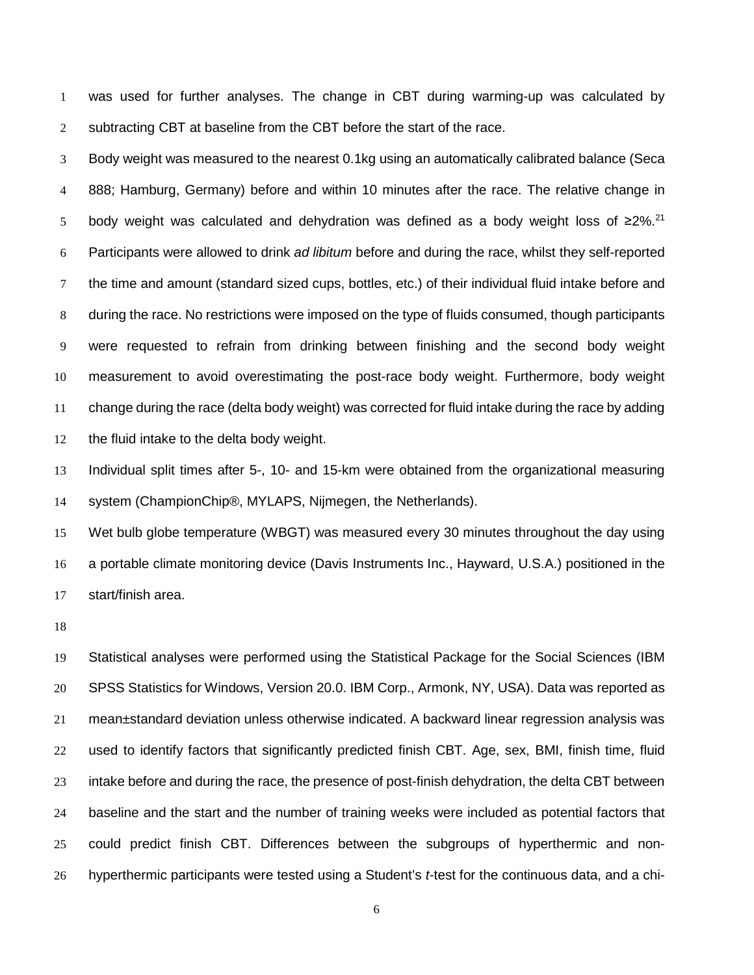was used for further analyses. The change in CBT during warming-up was calculated by 2 subtracting CBT at baseline from the CBT before the start of the race.

 Body weight was measured to the nearest 0.1kg using an automatically calibrated balance (Seca 888; Hamburg, Germany) before and within 10 minutes after the race. The relative change in 5 body weight was calculated and dehydration was defined as a body weight loss of ≥2%.<sup>[21](#page-17-7)</sup> Participants were allowed to drink *ad libitum* before and during the race, whilst they self-reported the time and amount (standard sized cups, bottles, etc.) of their individual fluid intake before and during the race. No restrictions were imposed on the type of fluids consumed, though participants were requested to refrain from drinking between finishing and the second body weight measurement to avoid overestimating the post-race body weight. Furthermore, body weight change during the race (delta body weight) was corrected for fluid intake during the race by adding the fluid intake to the delta body weight.

 Individual split times after 5-, 10- and 15-km were obtained from the organizational measuring system (ChampionChip*®*, MYLAPS, Nijmegen, the Netherlands).

 Wet bulb globe temperature (WBGT) was measured every 30 minutes throughout the day using a portable climate monitoring device (Davis Instruments Inc., Hayward, U.S.A.) positioned in the start/finish area.

 Statistical analyses were performed using the Statistical Package for the Social Sciences (IBM SPSS Statistics for Windows, Version 20.0. IBM Corp., Armonk, NY, USA). Data was reported as mean±standard deviation unless otherwise indicated. A backward linear regression analysis was used to identify factors that significantly predicted finish CBT. Age, sex, BMI, finish time, fluid intake before and during the race, the presence of post-finish dehydration, the delta CBT between baseline and the start and the number of training weeks were included as potential factors that could predict finish CBT. Differences between the subgroups of hyperthermic and non-hyperthermic participants were tested using a Student's *t*-test for the continuous data, and a chi-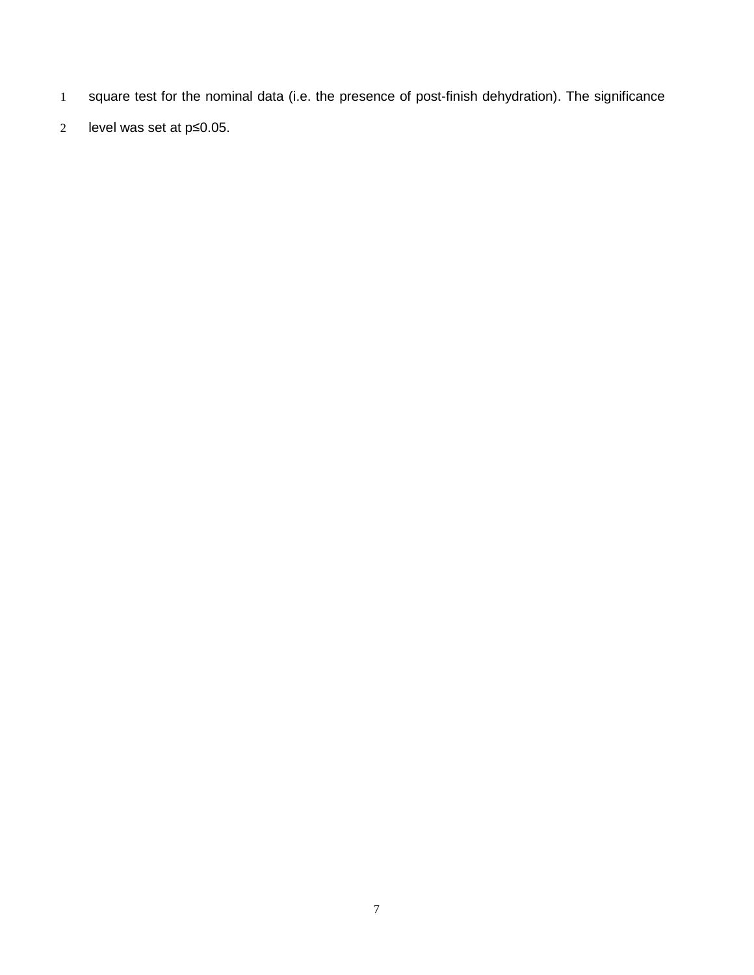- square test for the nominal data (i.e. the presence of post-finish dehydration). The significance
- level was set at p≤0.05.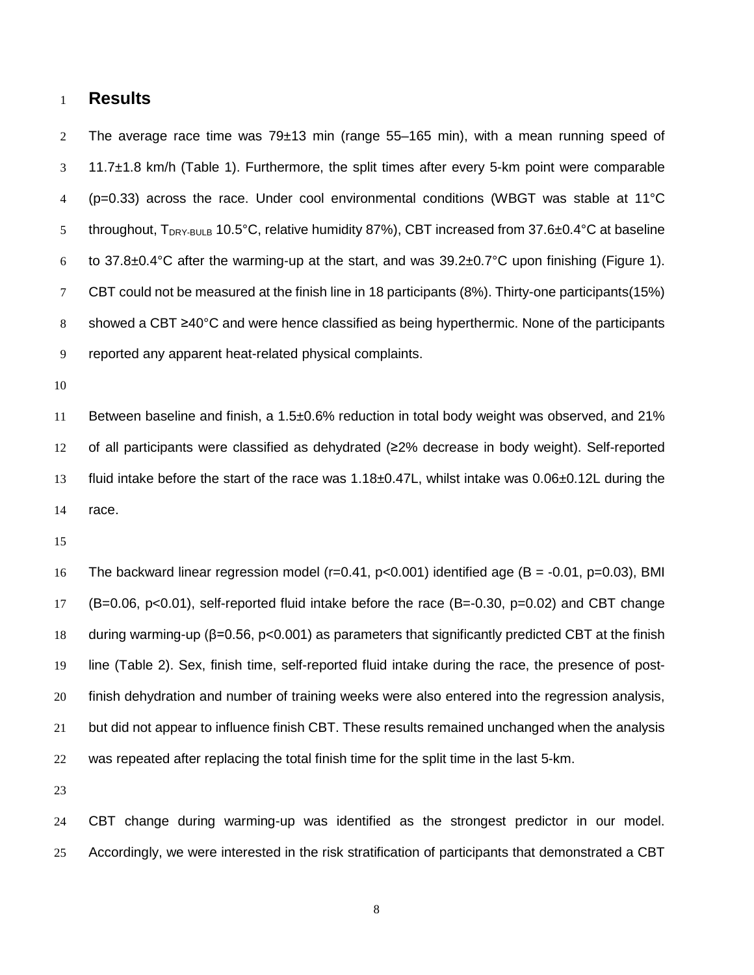## **Results**

 The average race time was 79±13 min (range 55–165 min), with a mean running speed of 11.7±1.8 km/h (Table 1). Furthermore, the split times after every 5-km point were comparable (p=0.33) across the race. Under cool environmental conditions (WBGT was stable at 11°C 5 throughout,  $T_{DRY-BULB}$  10.5°C, relative humidity 87%), CBT increased from 37.6 $\pm$ 0.4°C at baseline 6 to 37.8 $\pm$ 0.4°C after the warming-up at the start, and was 39.2 $\pm$ 0.7°C upon finishing (Figure 1). CBT could not be measured at the finish line in 18 participants (8%). Thirty-one participants(15%) showed a CBT ≥40°C and were hence classified as being hyperthermic. None of the participants reported any apparent heat-related physical complaints.

 Between baseline and finish, a 1.5±0.6% reduction in total body weight was observed, and 21% of all participants were classified as dehydrated (≥2% decrease in body weight). Self-reported fluid intake before the start of the race was 1.18±0.47L, whilst intake was 0.06±0.12L during the race.

 The backward linear regression model (r=0.41, p<0.001) identified age (B = -0.01, p=0.03), BMI (B=0.06, p<0.01), self-reported fluid intake before the race (B=-0.30, p=0.02) and CBT change during warming-up (β=0.56, p<0.001) as parameters that significantly predicted CBT at the finish line (Table 2). Sex, finish time, self-reported fluid intake during the race, the presence of post- finish dehydration and number of training weeks were also entered into the regression analysis, but did not appear to influence finish CBT. These results remained unchanged when the analysis was repeated after replacing the total finish time for the split time in the last 5-km.

 CBT change during warming-up was identified as the strongest predictor in our model. Accordingly, we were interested in the risk stratification of participants that demonstrated a CBT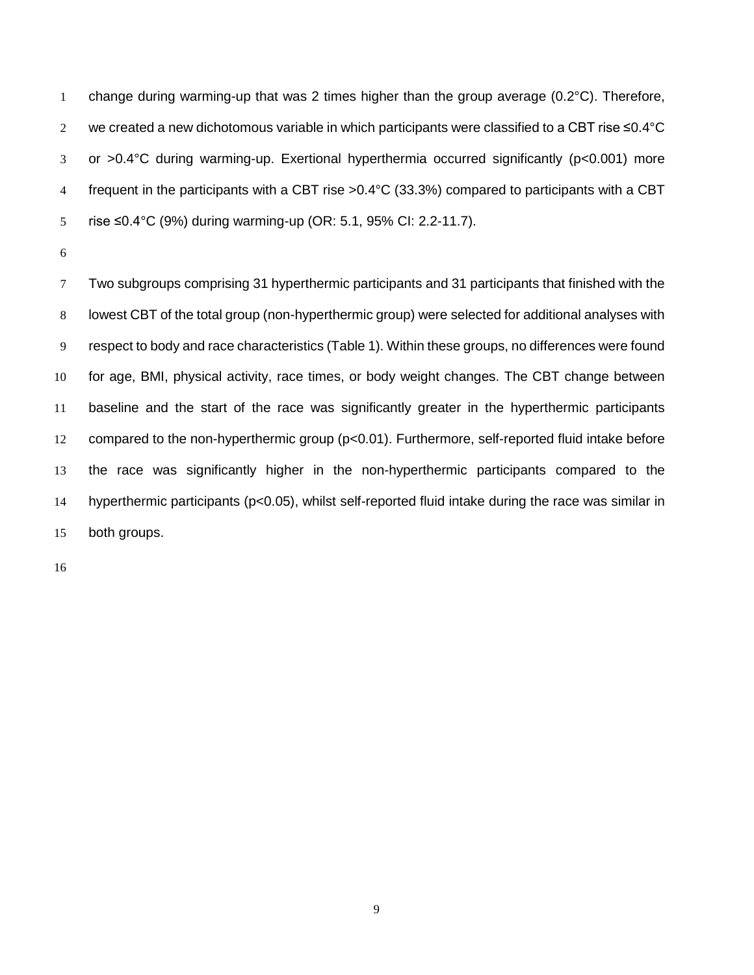1 change during warming-up that was 2 times higher than the group average  $(0.2^{\circ}C)$ . Therefore, we created a new dichotomous variable in which participants were classified to a CBT rise ≤0.4°C or >0.4°C during warming-up. Exertional hyperthermia occurred significantly (p<0.001) more frequent in the participants with a CBT rise >0.4°C (33.3%) compared to participants with a CBT rise ≤0.4°C (9%) during warming-up (OR: 5.1, 95% CI: 2.2-11.7).

 Two subgroups comprising 31 hyperthermic participants and 31 participants that finished with the lowest CBT of the total group (non-hyperthermic group) were selected for additional analyses with respect to body and race characteristics (Table 1). Within these groups, no differences were found for age, BMI, physical activity, race times, or body weight changes. The CBT change between baseline and the start of the race was significantly greater in the hyperthermic participants compared to the non-hyperthermic group (p<0.01). Furthermore, self-reported fluid intake before the race was significantly higher in the non-hyperthermic participants compared to the hyperthermic participants (p<0.05), whilst self-reported fluid intake during the race was similar in both groups.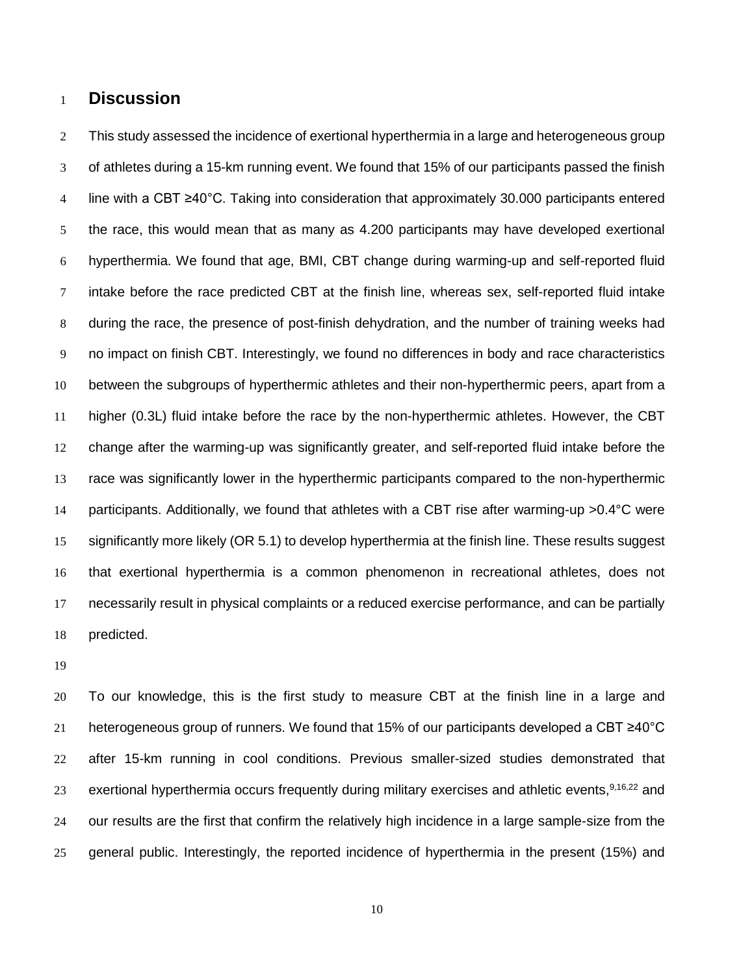## **Discussion**

 This study assessed the incidence of exertional hyperthermia in a large and heterogeneous group of athletes during a 15-km running event. We found that 15% of our participants passed the finish line with a CBT ≥40°C. Taking into consideration that approximately 30.000 participants entered the race, this would mean that as many as 4.200 participants may have developed exertional hyperthermia. We found that age, BMI, CBT change during warming-up and self-reported fluid intake before the race predicted CBT at the finish line, whereas sex, self-reported fluid intake during the race, the presence of post-finish dehydration, and the number of training weeks had no impact on finish CBT. Interestingly, we found no differences in body and race characteristics between the subgroups of hyperthermic athletes and their non-hyperthermic peers, apart from a higher (0.3L) fluid intake before the race by the non-hyperthermic athletes. However, the CBT change after the warming-up was significantly greater, and self-reported fluid intake before the race was significantly lower in the hyperthermic participants compared to the non-hyperthermic participants. Additionally, we found that athletes with a CBT rise after warming-up >0.4°C were significantly more likely (OR 5.1) to develop hyperthermia at the finish line. These results suggest that exertional hyperthermia is a common phenomenon in recreational athletes, does not necessarily result in physical complaints or a reduced exercise performance, and can be partially predicted.

 To our knowledge, this is the first study to measure CBT at the finish line in a large and heterogeneous group of runners. We found that 15% of our participants developed a CBT ≥40°C after 15-km running in cool conditions. Previous smaller-sized studies demonstrated that 23 exertional hyperthermia occurs frequently during military exercises and athletic events, [9](#page-16-9)[,16,](#page-17-1)[22](#page-17-8) and our results are the first that confirm the relatively high incidence in a large sample-size from the general public. Interestingly, the reported incidence of hyperthermia in the present (15%) and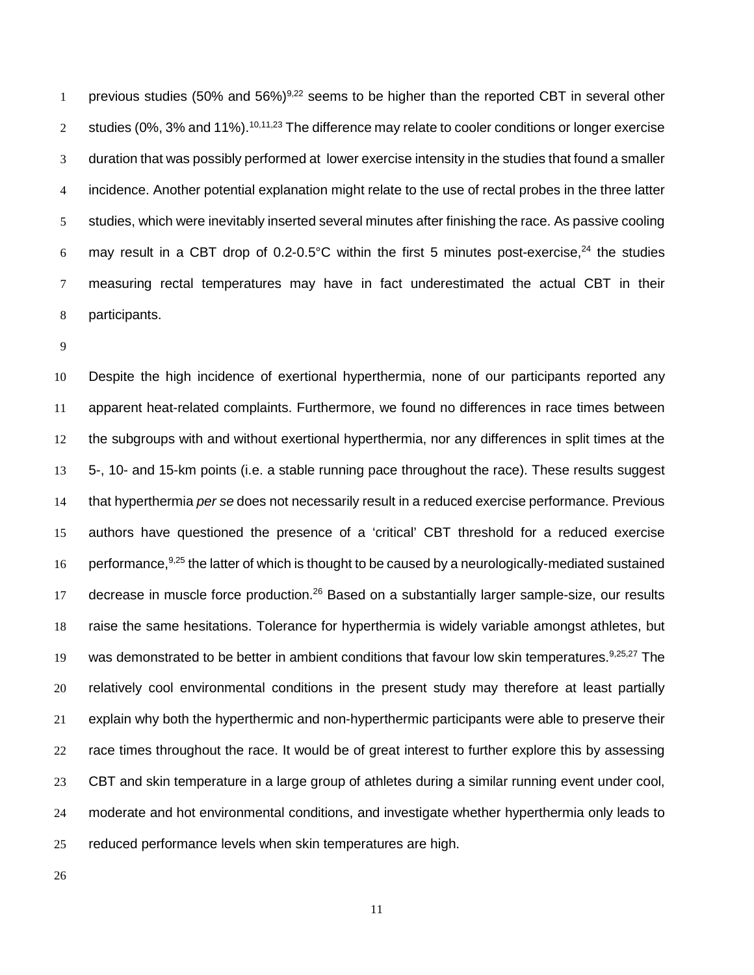1 previous studies (50% and 56%)<sup>9,[22](#page-17-8)</sup> seems to be higher than the reported CBT in several other studies (0%, 3% and 11%).  $^{10,11,23}$  $^{10,11,23}$  $^{10,11,23}$  $^{10,11,23}$  $^{10,11,23}$  The difference may relate to cooler conditions or longer exercise duration that was possibly performed at lower exercise intensity in the studies that found a smaller incidence. Another potential explanation might relate to the use of rectal probes in the three latter studies, which were inevitably inserted several minutes after finishing the race. As passive cooling 6 may result in a CBT drop of 0.2-0.5°C within the first 5 minutes post-exercise,<sup>[24](#page-18-1)</sup> the studies measuring rectal temperatures may have in fact underestimated the actual CBT in their participants.

 Despite the high incidence of exertional hyperthermia, none of our participants reported any apparent heat-related complaints. Furthermore, we found no differences in race times between the subgroups with and without exertional hyperthermia, nor any differences in split times at the 5-, 10- and 15-km points (i.e. a stable running pace throughout the race). These results suggest that hyperthermia *per se* does not necessarily result in a reduced exercise performance. Previous authors have questioned the presence of a 'critical' CBT threshold for a reduced exercise 16 performance, [9,](#page-16-9)[25](#page-18-2) the latter of which is thought to be caused by a neurologically-mediated sustained 17 decrease in muscle force production.<sup>[26](#page-18-3)</sup> Based on a substantially larger sample-size, our results raise the same hesitations. Tolerance for hyperthermia is widely variable amongst athletes, but 19 was demonstrated to be better in ambient conditions that favour low skin temperatures.<sup>[9,](#page-16-9)[25,](#page-18-2)[27](#page-18-4)</sup> The relatively cool environmental conditions in the present study may therefore at least partially explain why both the hyperthermic and non-hyperthermic participants were able to preserve their race times throughout the race. It would be of great interest to further explore this by assessing CBT and skin temperature in a large group of athletes during a similar running event under cool, moderate and hot environmental conditions, and investigate whether hyperthermia only leads to reduced performance levels when skin temperatures are high.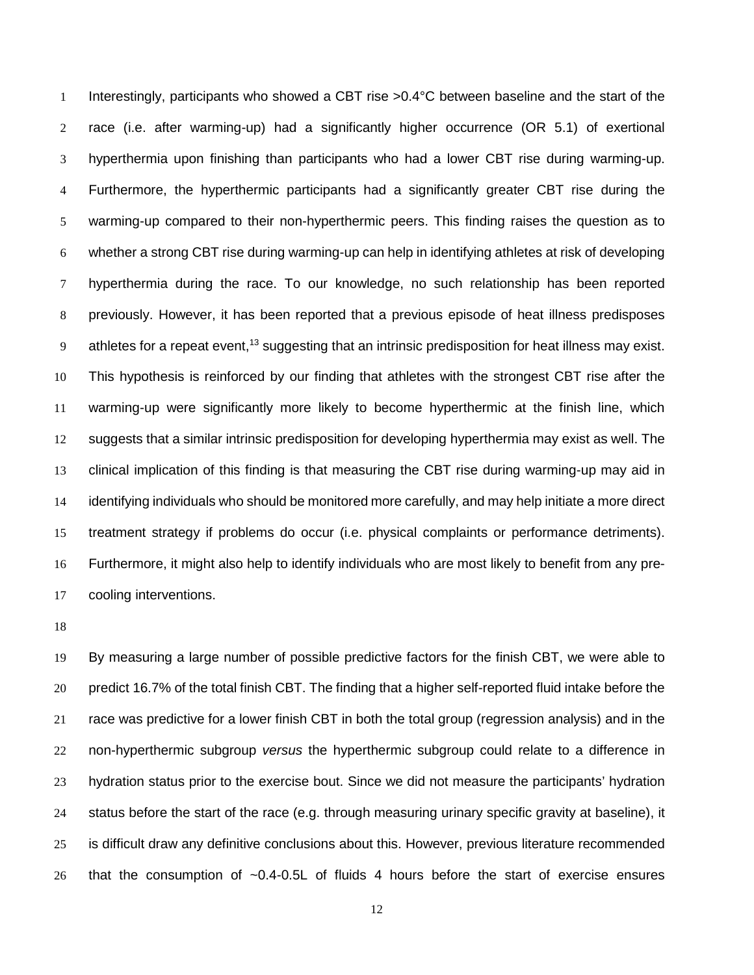Interestingly, participants who showed a CBT rise >0.4°C between baseline and the start of the race (i.e. after warming-up) had a significantly higher occurrence (OR 5.1) of exertional hyperthermia upon finishing than participants who had a lower CBT rise during warming-up. Furthermore, the hyperthermic participants had a significantly greater CBT rise during the warming-up compared to their non-hyperthermic peers. This finding raises the question as to whether a strong CBT rise during warming-up can help in identifying athletes at risk of developing hyperthermia during the race. To our knowledge, no such relationship has been reported previously. However, it has been reported that a previous episode of heat illness predisposes 9 athletes for a repeat event,<sup>[13](#page-17-0)</sup> suggesting that an intrinsic predisposition for heat illness may exist. This hypothesis is reinforced by our finding that athletes with the strongest CBT rise after the warming-up were significantly more likely to become hyperthermic at the finish line, which suggests that a similar intrinsic predisposition for developing hyperthermia may exist as well. The clinical implication of this finding is that measuring the CBT rise during warming-up may aid in identifying individuals who should be monitored more carefully, and may help initiate a more direct treatment strategy if problems do occur (i.e. physical complaints or performance detriments). Furthermore, it might also help to identify individuals who are most likely to benefit from any pre-cooling interventions.

 By measuring a large number of possible predictive factors for the finish CBT, we were able to 20 predict 16.7% of the total finish CBT. The finding that a higher self-reported fluid intake before the race was predictive for a lower finish CBT in both the total group (regression analysis) and in the non-hyperthermic subgroup *versus* the hyperthermic subgroup could relate to a difference in hydration status prior to the exercise bout. Since we did not measure the participants' hydration status before the start of the race (e.g. through measuring urinary specific gravity at baseline), it is difficult draw any definitive conclusions about this. However, previous literature recommended that the consumption of ~0.4-0.5L of fluids 4 hours before the start of exercise ensures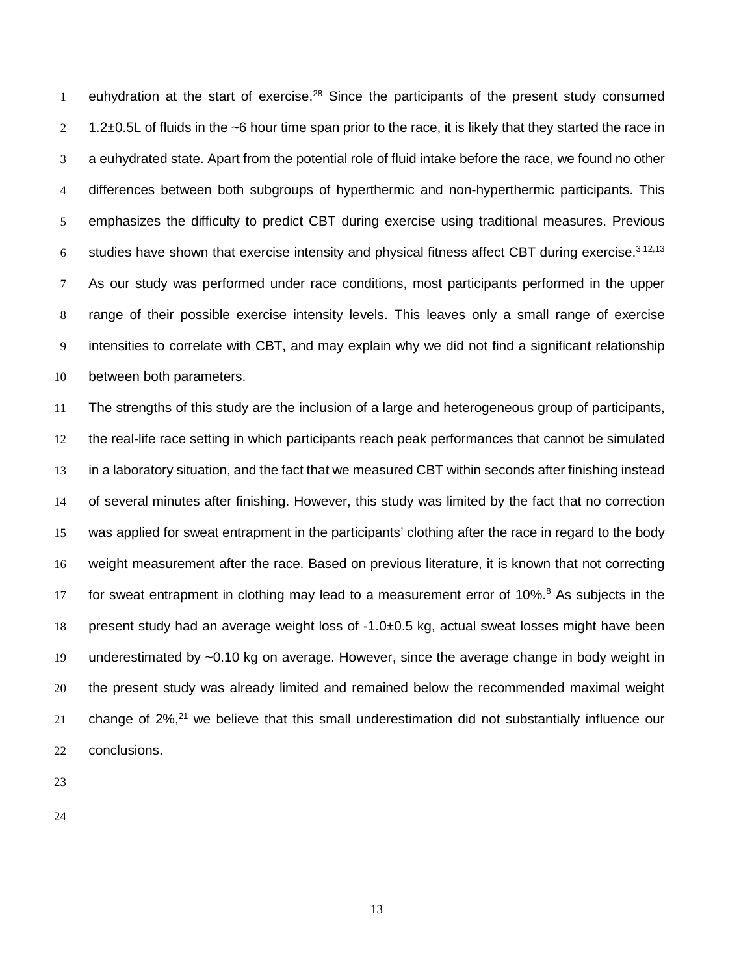1 euhydration at the start of exercise.<sup>28</sup> Since the participants of the present study consumed  $2 \quad 1.2\pm0.5$  L of fluids in the ~6 hour time span prior to the race, it is likely that they started the race in a euhydrated state. Apart from the potential role of fluid intake before the race, we found no other differences between both subgroups of hyperthermic and non-hyperthermic participants. This emphasizes the difficulty to predict CBT during exercise using traditional measures. Previous 6 studies have shown that exercise intensity and physical fitness affect CBT during exercise.  $3,12,13$  $3,12,13$  $3,12,13$  As our study was performed under race conditions, most participants performed in the upper range of their possible exercise intensity levels. This leaves only a small range of exercise intensities to correlate with CBT, and may explain why we did not find a significant relationship between both parameters.

 The strengths of this study are the inclusion of a large and heterogeneous group of participants, the real-life race setting in which participants reach peak performances that cannot be simulated 13 in a laboratory situation, and the fact that we measured CBT within seconds after finishing instead of several minutes after finishing. However, this study was limited by the fact that no correction was applied for sweat entrapment in the participants' clothing after the race in regard to the body weight measurement after the race. Based on previous literature, it is known that not correcting 17 for sweat entrapment in clothing may lead to a measurement error of  $10\%$ [.](#page-16-5)<sup>8</sup> As subjects in the present study had an average weight loss of -1.0±0.5 kg, actual sweat losses might have been underestimated by ~0.10 kg on average. However, since the average change in body weight in the present study was already limited and remained below the recommended maximal weight change of  $2\%$ , <sup>21</sup> we believe that this small underestimation did not substantially influence our conclusions.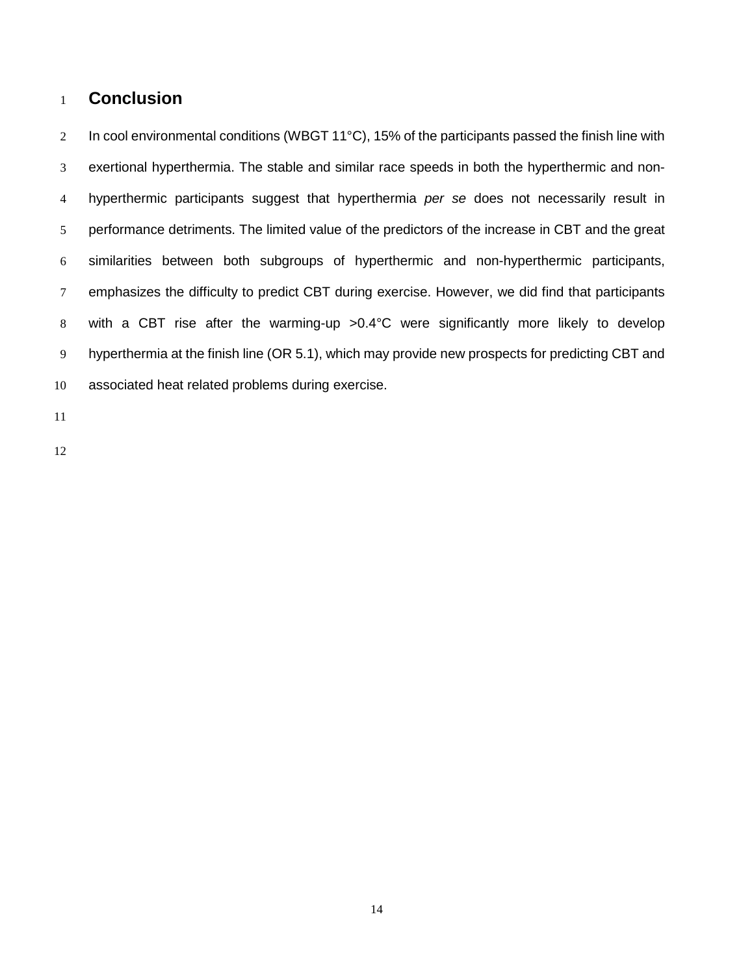## **Conclusion**

2 In cool environmental conditions (WBGT 11°C), 15% of the participants passed the finish line with exertional hyperthermia. The stable and similar race speeds in both the hyperthermic and non- hyperthermic participants suggest that hyperthermia *per se* does not necessarily result in performance detriments. The limited value of the predictors of the increase in CBT and the great similarities between both subgroups of hyperthermic and non-hyperthermic participants, emphasizes the difficulty to predict CBT during exercise. However, we did find that participants with a CBT rise after the warming-up >0.4°C were significantly more likely to develop hyperthermia at the finish line (OR 5.1), which may provide new prospects for predicting CBT and associated heat related problems during exercise.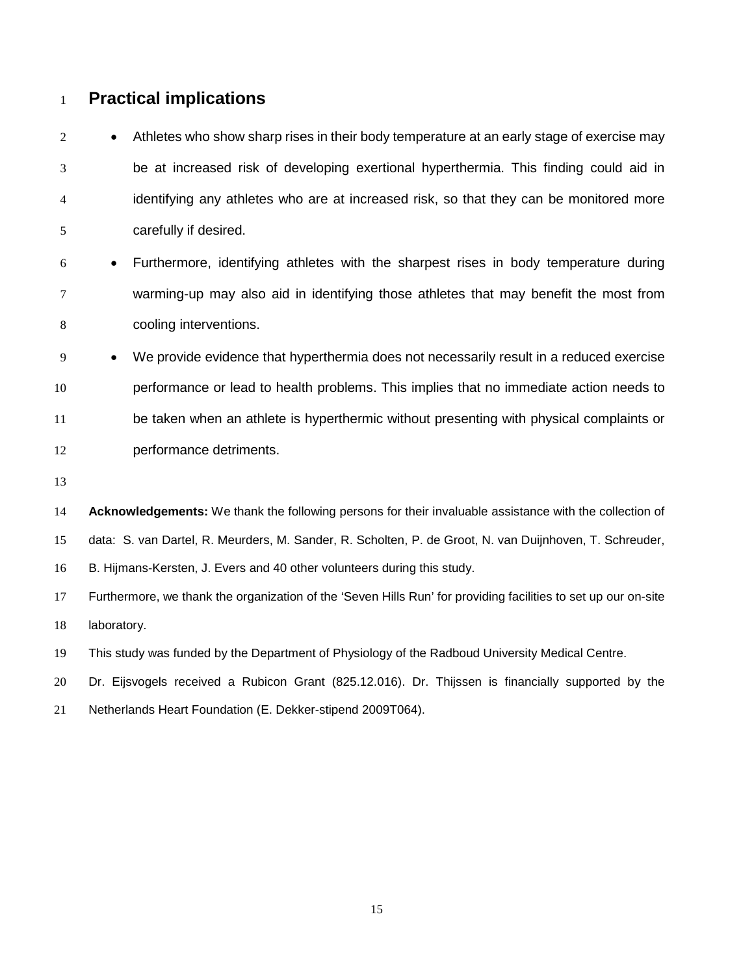## **Practical implications**

2 • Athletes who show sharp rises in their body temperature at an early stage of exercise may be at increased risk of developing exertional hyperthermia. This finding could aid in identifying any athletes who are at increased risk, so that they can be monitored more carefully if desired.

- Furthermore, identifying athletes with the sharpest rises in body temperature during warming-up may also aid in identifying those athletes that may benefit the most from cooling interventions.
- We provide evidence that hyperthermia does not necessarily result in a reduced exercise performance or lead to health problems. This implies that no immediate action needs to be taken when an athlete is hyperthermic without presenting with physical complaints or performance detriments.
- 

 **Acknowledgements:** We thank the following persons for their invaluable assistance with the collection of data: S. van Dartel, R. Meurders, M. Sander, R. Scholten, P. de Groot, N. van Duijnhoven, T. Schreuder,

B. Hijmans-Kersten, J. Evers and 40 other volunteers during this study.

 Furthermore, we thank the organization of the 'Seven Hills Run' for providing facilities to set up our on-site laboratory.

This study was funded by the Department of Physiology of the Radboud University Medical Centre.

Dr. Eijsvogels received a Rubicon Grant (825.12.016). Dr. Thijssen is financially supported by the

Netherlands Heart Foundation (E. Dekker-stipend 2009T064).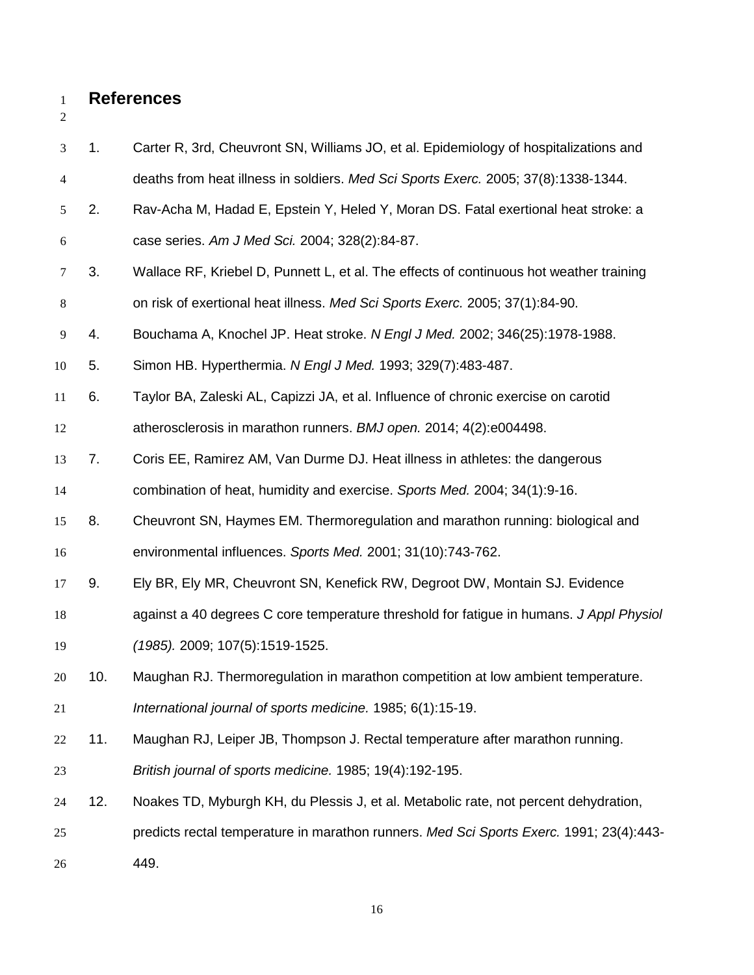## **References**

<span id="page-16-10"></span><span id="page-16-9"></span><span id="page-16-8"></span><span id="page-16-7"></span><span id="page-16-6"></span><span id="page-16-5"></span><span id="page-16-4"></span><span id="page-16-3"></span><span id="page-16-2"></span><span id="page-16-1"></span><span id="page-16-0"></span>

| 3                | 1.  | Carter R, 3rd, Cheuvront SN, Williams JO, et al. Epidemiology of hospitalizations and   |
|------------------|-----|-----------------------------------------------------------------------------------------|
| 4                |     | deaths from heat illness in soldiers. Med Sci Sports Exerc. 2005; 37(8):1338-1344.      |
| 5                | 2.  | Rav-Acha M, Hadad E, Epstein Y, Heled Y, Moran DS. Fatal exertional heat stroke: a      |
| $\boldsymbol{6}$ |     | case series. Am J Med Sci. 2004; 328(2):84-87.                                          |
| 7                | 3.  | Wallace RF, Kriebel D, Punnett L, et al. The effects of continuous hot weather training |
| $8\,$            |     | on risk of exertional heat illness. Med Sci Sports Exerc. 2005; 37(1):84-90.            |
| 9                | 4.  | Bouchama A, Knochel JP. Heat stroke. N Engl J Med. 2002; 346(25):1978-1988.             |
| 10               | 5.  | Simon HB. Hyperthermia. N Engl J Med. 1993; 329(7):483-487.                             |
| 11               | 6.  | Taylor BA, Zaleski AL, Capizzi JA, et al. Influence of chronic exercise on carotid      |
| 12               |     | atherosclerosis in marathon runners. BMJ open. 2014; 4(2):e004498.                      |
| 13               | 7.  | Coris EE, Ramirez AM, Van Durme DJ. Heat illness in athletes: the dangerous             |
| 14               |     | combination of heat, humidity and exercise. Sports Med. 2004; 34(1):9-16.               |
| 15               | 8.  | Cheuvront SN, Haymes EM. Thermoregulation and marathon running: biological and          |
| 16               |     | environmental influences. Sports Med. 2001; 31(10):743-762.                             |
| 17               | 9.  | Ely BR, Ely MR, Cheuvront SN, Kenefick RW, Degroot DW, Montain SJ. Evidence             |
| 18               |     | against a 40 degrees C core temperature threshold for fatigue in humans. J Appl Physiol |
| 19               |     | (1985). 2009; 107(5):1519-1525.                                                         |
| 20               | 10. | Maughan RJ. Thermoregulation in marathon competition at low ambient temperature.        |
| 21               |     | International journal of sports medicine. 1985; 6(1):15-19.                             |
| 22               | 11. | Maughan RJ, Leiper JB, Thompson J. Rectal temperature after marathon running.           |
| 23               |     | British journal of sports medicine. 1985; 19(4):192-195.                                |
| 24               | 12. | Noakes TD, Myburgh KH, du Plessis J, et al. Metabolic rate, not percent dehydration,    |
| 25               |     | predicts rectal temperature in marathon runners. Med Sci Sports Exerc. 1991; 23(4):443- |
| 26               |     | 449.                                                                                    |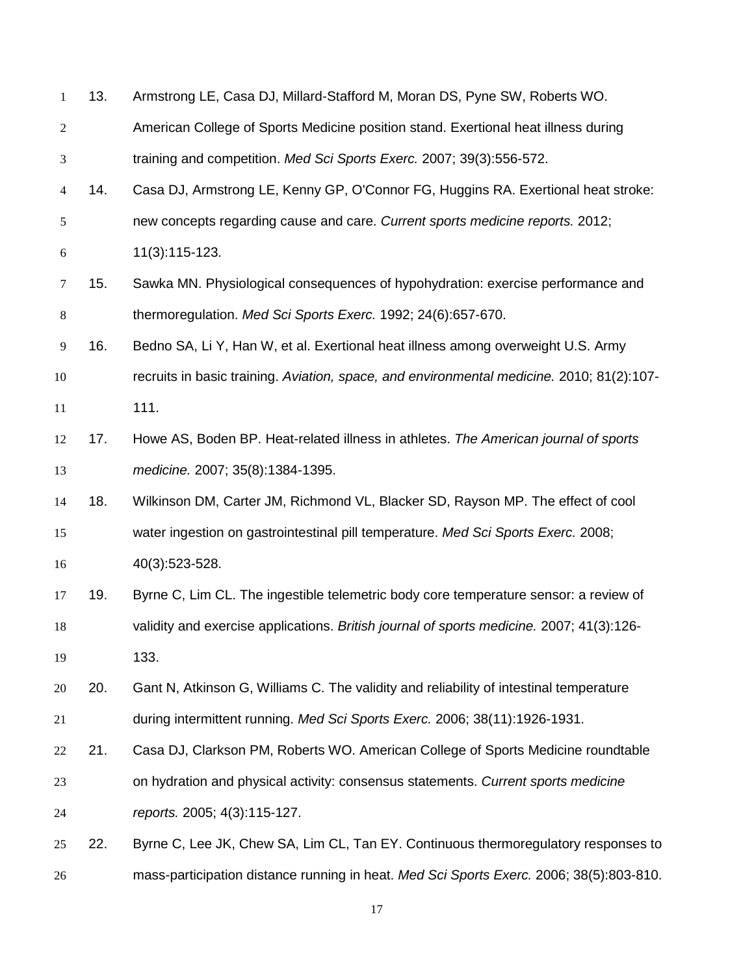<span id="page-17-8"></span><span id="page-17-7"></span><span id="page-17-6"></span><span id="page-17-5"></span><span id="page-17-4"></span><span id="page-17-3"></span><span id="page-17-2"></span><span id="page-17-1"></span><span id="page-17-0"></span>

| $\mathbf{1}$     | 13. | Armstrong LE, Casa DJ, Millard-Stafford M, Moran DS, Pyne SW, Roberts WO.                 |
|------------------|-----|-------------------------------------------------------------------------------------------|
| $\overline{c}$   |     | American College of Sports Medicine position stand. Exertional heat illness during        |
| 3                |     | training and competition. Med Sci Sports Exerc. 2007; 39(3):556-572.                      |
| $\overline{4}$   | 14. | Casa DJ, Armstrong LE, Kenny GP, O'Connor FG, Huggins RA. Exertional heat stroke:         |
| 5                |     | new concepts regarding cause and care. Current sports medicine reports. 2012;             |
| $\boldsymbol{6}$ |     | 11(3):115-123.                                                                            |
| 7                | 15. | Sawka MN. Physiological consequences of hypohydration: exercise performance and           |
| $\,8\,$          |     | thermoregulation. Med Sci Sports Exerc. 1992; 24(6):657-670.                              |
| $\overline{9}$   | 16. | Bedno SA, Li Y, Han W, et al. Exertional heat illness among overweight U.S. Army          |
| 10               |     | recruits in basic training. Aviation, space, and environmental medicine. 2010; 81(2):107- |
| 11               |     | 111.                                                                                      |
| 12               | 17. | Howe AS, Boden BP. Heat-related illness in athletes. The American journal of sports       |
| 13               |     | medicine. 2007; 35(8):1384-1395.                                                          |
| 14               | 18. | Wilkinson DM, Carter JM, Richmond VL, Blacker SD, Rayson MP. The effect of cool           |
| 15               |     | water ingestion on gastrointestinal pill temperature. Med Sci Sports Exerc. 2008;         |
| 16               |     | 40(3):523-528.                                                                            |
| 17               | 19. | Byrne C, Lim CL. The ingestible telemetric body core temperature sensor: a review of      |
| 18               |     | validity and exercise applications. British journal of sports medicine. 2007; 41(3):126-  |
| 19               |     | 133.                                                                                      |
| 20               | 20. | Gant N, Atkinson G, Williams C. The validity and reliability of intestinal temperature    |
| 21               |     | during intermittent running. Med Sci Sports Exerc. 2006; 38(11):1926-1931.                |
| 22               | 21. | Casa DJ, Clarkson PM, Roberts WO. American College of Sports Medicine roundtable          |
| 23               |     | on hydration and physical activity: consensus statements. Current sports medicine         |
| 24               |     | reports. 2005; 4(3):115-127.                                                              |
| 25               | 22. | Byrne C, Lee JK, Chew SA, Lim CL, Tan EY. Continuous thermoregulatory responses to        |
| 26               |     | mass-participation distance running in heat. Med Sci Sports Exerc. 2006; 38(5):803-810.   |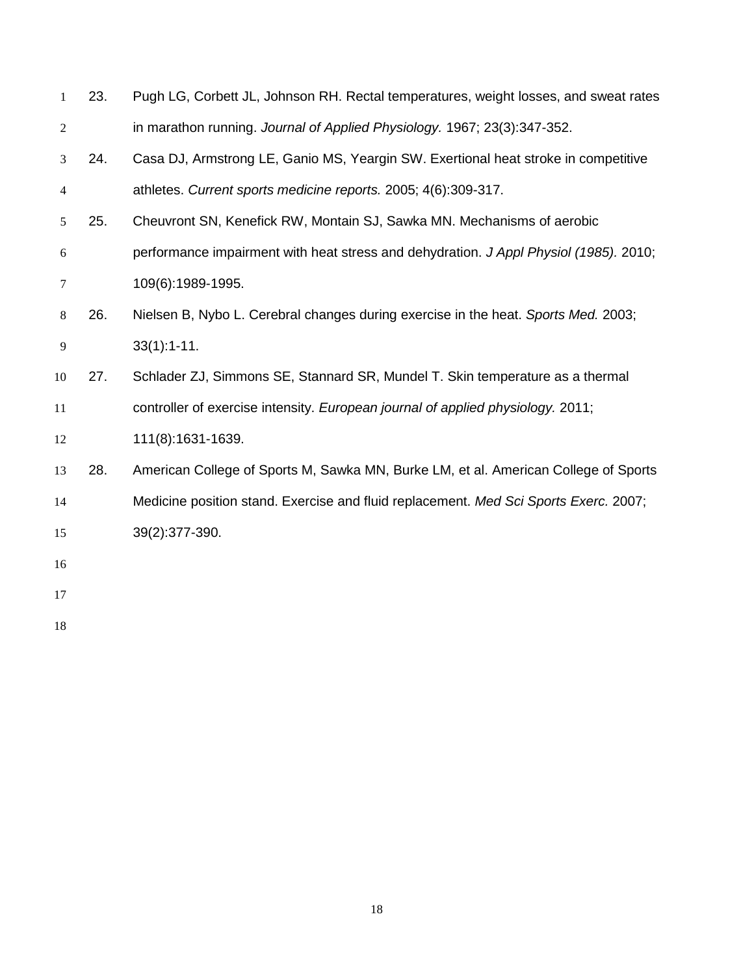<span id="page-18-5"></span><span id="page-18-4"></span><span id="page-18-3"></span><span id="page-18-2"></span><span id="page-18-1"></span><span id="page-18-0"></span>

| $\mathbf{1}$     | 23. | Pugh LG, Corbett JL, Johnson RH. Rectal temperatures, weight losses, and sweat rates  |
|------------------|-----|---------------------------------------------------------------------------------------|
| $\overline{c}$   |     | in marathon running. Journal of Applied Physiology. 1967; 23(3):347-352.              |
| $\mathfrak{Z}$   | 24. | Casa DJ, Armstrong LE, Ganio MS, Yeargin SW. Exertional heat stroke in competitive    |
| $\overline{4}$   |     | athletes. Current sports medicine reports. 2005; 4(6):309-317.                        |
| 5                | 25. | Cheuvront SN, Kenefick RW, Montain SJ, Sawka MN. Mechanisms of aerobic                |
| $\boldsymbol{6}$ |     | performance impairment with heat stress and dehydration. J Appl Physiol (1985). 2010; |
| 7                |     | 109(6):1989-1995.                                                                     |
| $\,8\,$          | 26. | Nielsen B, Nybo L. Cerebral changes during exercise in the heat. Sports Med. 2003;    |
| $\overline{9}$   |     | $33(1):1-11.$                                                                         |
| 10               | 27. | Schlader ZJ, Simmons SE, Stannard SR, Mundel T. Skin temperature as a thermal         |
| 11               |     | controller of exercise intensity. European journal of applied physiology. 2011;       |
| 12               |     | 111(8):1631-1639.                                                                     |
| 13               | 28. | American College of Sports M, Sawka MN, Burke LM, et al. American College of Sports   |
| 14               |     | Medicine position stand. Exercise and fluid replacement. Med Sci Sports Exerc. 2007;  |
| 15               |     | 39(2):377-390.                                                                        |
| 16               |     |                                                                                       |
| 17               |     |                                                                                       |
| 18               |     |                                                                                       |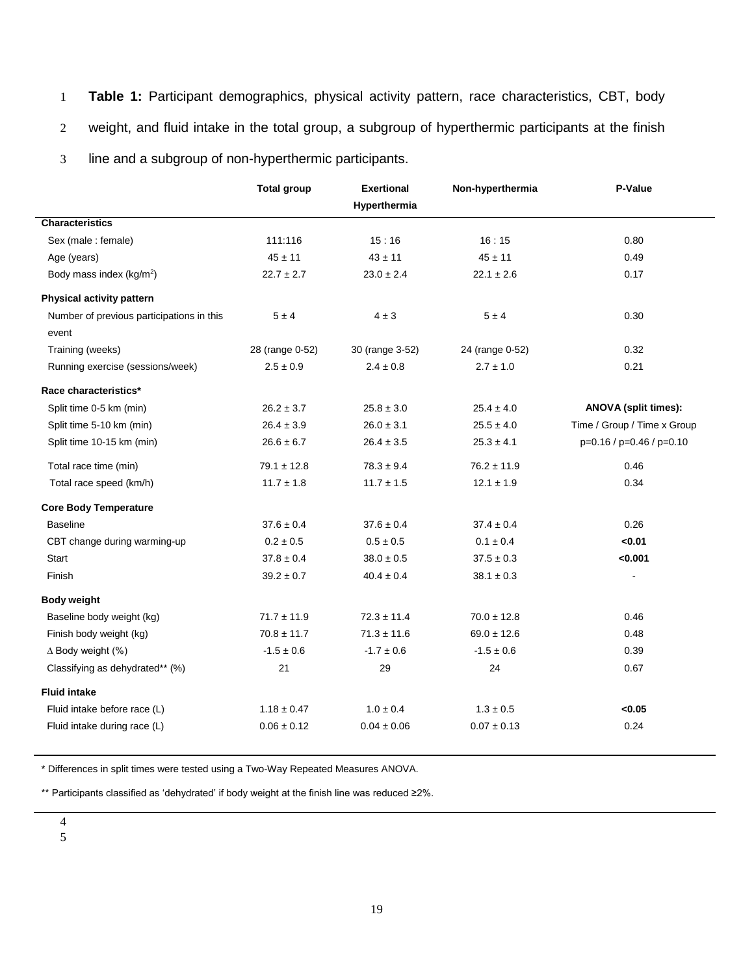- 1 **Table 1:** Participant demographics, physical activity pattern, race characteristics, CBT, body
- 2 weight, and fluid intake in the total group, a subgroup of hyperthermic participants at the finish

3 line and a subgroup of non-hyperthermic participants.

|                                                    | <b>Total group</b> | <b>Exertional</b> | Non-hyperthermia | P-Value                     |
|----------------------------------------------------|--------------------|-------------------|------------------|-----------------------------|
|                                                    |                    | Hyperthermia      |                  |                             |
| <b>Characteristics</b>                             |                    |                   |                  |                             |
| Sex (male: female)                                 | 111:116            | 15:16             | 16:15            | 0.80                        |
| Age (years)                                        | $45 \pm 11$        | $43 \pm 11$       | $45 \pm 11$      | 0.49                        |
| Body mass index (kg/m <sup>2</sup> )               | $22.7 \pm 2.7$     | $23.0 \pm 2.4$    | $22.1 \pm 2.6$   | 0.17                        |
| Physical activity pattern                          |                    |                   |                  |                             |
| Number of previous participations in this<br>event | $5 \pm 4$          | $4 \pm 3$         | 5±4              | 0.30                        |
| Training (weeks)                                   | 28 (range 0-52)    | 30 (range 3-52)   | 24 (range 0-52)  | 0.32                        |
| Running exercise (sessions/week)                   | $2.5 \pm 0.9$      | $2.4 \pm 0.8$     | $2.7 \pm 1.0$    | 0.21                        |
| Race characteristics*                              |                    |                   |                  |                             |
| Split time 0-5 km (min)                            | $26.2 \pm 3.7$     | $25.8 \pm 3.0$    | $25.4 \pm 4.0$   | <b>ANOVA</b> (split times): |
| Split time 5-10 km (min)                           | $26.4 \pm 3.9$     | $26.0 \pm 3.1$    | $25.5 \pm 4.0$   | Time / Group / Time x Group |
| Split time 10-15 km (min)                          | $26.6 \pm 6.7$     | $26.4 \pm 3.5$    | $25.3 \pm 4.1$   | p=0.16 / p=0.46 / p=0.10    |
| Total race time (min)                              | $79.1 \pm 12.8$    | $78.3 \pm 9.4$    | $76.2 \pm 11.9$  | 0.46                        |
| Total race speed (km/h)                            | $11.7 \pm 1.8$     | $11.7 \pm 1.5$    | $12.1 \pm 1.9$   | 0.34                        |
| <b>Core Body Temperature</b>                       |                    |                   |                  |                             |
| <b>Baseline</b>                                    | $37.6 \pm 0.4$     | $37.6 \pm 0.4$    | $37.4 \pm 0.4$   | 0.26                        |
| CBT change during warming-up                       | $0.2\pm0.5$        | $0.5 \pm 0.5$     | $0.1 \pm 0.4$    | <0.01                       |
| <b>Start</b>                                       | $37.8 \pm 0.4$     | $38.0 \pm 0.5$    | $37.5 \pm 0.3$   | < 0.001                     |
| Finish                                             | $39.2 \pm 0.7$     | $40.4 \pm 0.4$    | $38.1 \pm 0.3$   | $\sim$                      |
| <b>Body weight</b>                                 |                    |                   |                  |                             |
| Baseline body weight (kg)                          | $71.7 \pm 11.9$    | $72.3 \pm 11.4$   | $70.0 \pm 12.8$  | 0.46                        |
| Finish body weight (kg)                            | $70.8 \pm 11.7$    | $71.3 \pm 11.6$   | $69.0 \pm 12.6$  | 0.48                        |
| $\Delta$ Body weight (%)                           | $-1.5 \pm 0.6$     | $-1.7 \pm 0.6$    | $-1.5 \pm 0.6$   | 0.39                        |
| Classifying as dehydrated** (%)                    | 21                 | 29                | 24               | 0.67                        |
| <b>Fluid intake</b>                                |                    |                   |                  |                             |
| Fluid intake before race (L)                       | $1.18 \pm 0.47$    | $1.0 \pm 0.4$     | $1.3 \pm 0.5$    | < 0.05                      |
| Fluid intake during race (L)                       | $0.06 \pm 0.12$    | $0.04 \pm 0.06$   | $0.07 \pm 0.13$  | 0.24                        |
|                                                    |                    |                   |                  |                             |

\* Differences in split times were tested using a Two-Way Repeated Measures ANOVA.

\*\* Participants classified as 'dehydrated' if body weight at the finish line was reduced ≥2%.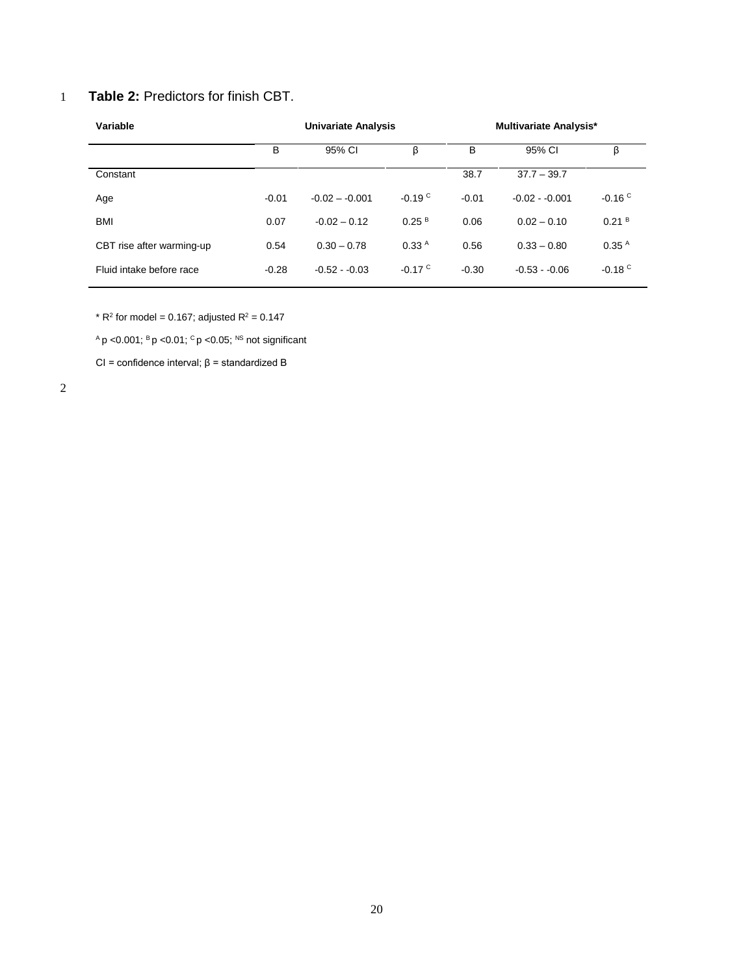## 1 **Table 2:** Predictors for finish CBT.

| Variable                  | <b>Univariate Analysis</b> |                 |                      | <b>Multivariate Analysis*</b> |                 |                      |
|---------------------------|----------------------------|-----------------|----------------------|-------------------------------|-----------------|----------------------|
|                           | в                          | 95% CI          | β                    | В                             | 95% CI          | β                    |
| Constant                  |                            |                 |                      | 38.7                          | $37.7 - 39.7$   |                      |
| Age                       | $-0.01$                    | $-0.02 - 0.001$ | $-0.19C$             | $-0.01$                       | $-0.02 - 0.001$ | $-0.16C$             |
| <b>BMI</b>                | 0.07                       | $-0.02 - 0.12$  | 0.25 <sup>B</sup>    | 0.06                          | $0.02 - 0.10$   | 0.21 <sup>B</sup>    |
| CBT rise after warming-up | 0.54                       | $0.30 - 0.78$   | 0.33 <sup>A</sup>    | 0.56                          | $0.33 - 0.80$   | 0.35 <sup>A</sup>    |
| Fluid intake before race  | $-0.28$                    | $-0.52 - 0.03$  | $-0.17$ <sup>C</sup> | $-0.30$                       | $-0.53 - 0.06$  | $-0.18$ <sup>C</sup> |

\*  $R^2$  for model = 0.167; adjusted  $R^2$  = 0.147

 $AP$  <0.001;  $BP$  <0.01;  $CP$  <0.05;  $NS$  not significant

CI = confidence interval; β = standardized B